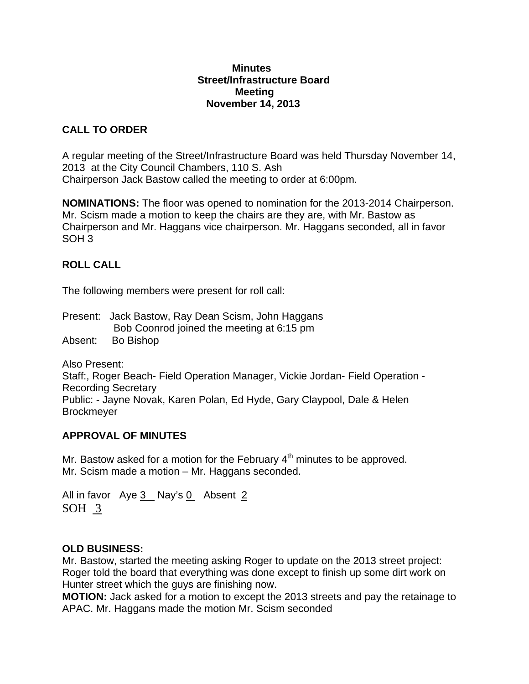#### **Minutes Street/Infrastructure Board Meeting November 14, 2013**

# **CALL TO ORDER**

A regular meeting of the Street/Infrastructure Board was held Thursday November 14, 2013 at the City Council Chambers, 110 S. Ash Chairperson Jack Bastow called the meeting to order at 6:00pm.

**NOMINATIONS:** The floor was opened to nomination for the 2013-2014 Chairperson. Mr. Scism made a motion to keep the chairs are they are, with Mr. Bastow as Chairperson and Mr. Haggans vice chairperson. Mr. Haggans seconded, all in favor SOH 3

## **ROLL CALL**

The following members were present for roll call:

Present: Jack Bastow, Ray Dean Scism, John Haggans Bob Coonrod joined the meeting at 6:15 pm Absent: Bo Bishop

Also Present: Staff:, Roger Beach- Field Operation Manager, Vickie Jordan- Field Operation - Recording Secretary Public: - Jayne Novak, Karen Polan, Ed Hyde, Gary Claypool, Dale & Helen **Brockmeyer** 

## **APPROVAL OF MINUTES**

Mr. Bastow asked for a motion for the February  $4<sup>th</sup>$  minutes to be approved. Mr. Scism made a motion – Mr. Haggans seconded.

All in favor Aye  $3$  Nay's  $0$  Absent 2 SOH 3

### **OLD BUSINESS:**

Mr. Bastow, started the meeting asking Roger to update on the 2013 street project: Roger told the board that everything was done except to finish up some dirt work on Hunter street which the guys are finishing now.

**MOTION:** Jack asked for a motion to except the 2013 streets and pay the retainage to APAC. Mr. Haggans made the motion Mr. Scism seconded